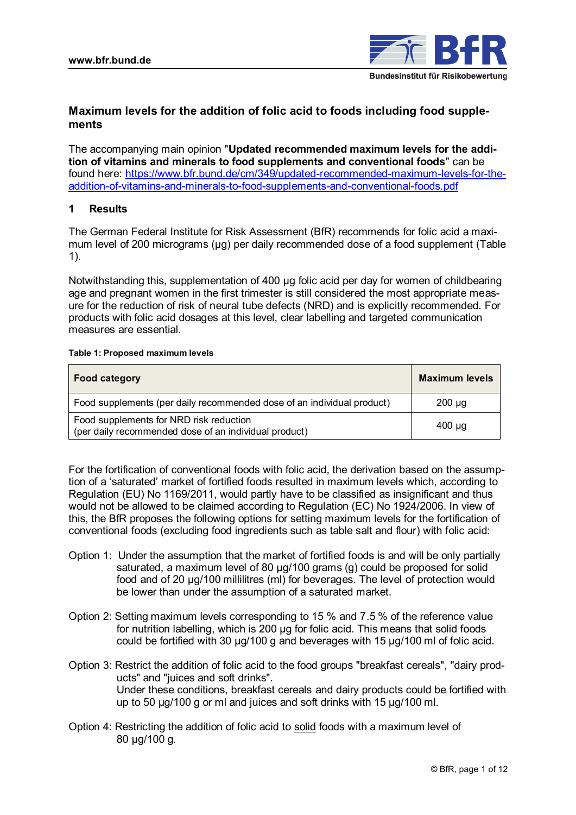

# **Maximum levels for the addition of folic acid to foods including food supplements**

The accompanying main opinion "**Updated recommended maximum levels for the addition of vitamins and minerals to food supplements and conventional foods**" can be found here: [https://www.bfr.bund.de/cm/349/updated-recommended-maximum-levels-for-the](https://www.bfr.bund.de/cm/349/updated-recommended-maximum-levels-for-the-addition-of-vitamins-and-minerals-to-food-supplements-and-conventional-foods.pdf)[addition-of-vitamins-and-minerals-to-food-supplements-and-conventional-foods.pdf](https://www.bfr.bund.de/cm/349/updated-recommended-maximum-levels-for-the-addition-of-vitamins-and-minerals-to-food-supplements-and-conventional-foods.pdf)

# **1 Results**

The German Federal Institute for Risk Assessment (BfR) recommends for folic acid a maximum level of 200 micrograms (µg) per daily recommended dose of a food supplement (Table 1).

Notwithstanding this, supplementation of 400 µg folic acid per day for women of childbearing age and pregnant women in the first trimester is still considered the most appropriate measure for the reduction of risk of neural tube defects (NRD) and is explicitly recommended. For products with folic acid dosages at this level, clear labelling and targeted communication measures are essential.

### **Table 1: Proposed maximum levels**

| <b>Food category</b>                                                                             | <b>Maximum levels</b> |
|--------------------------------------------------------------------------------------------------|-----------------------|
| Food supplements (per daily recommended dose of an individual product)                           | $200 \mu g$           |
| Food supplements for NRD risk reduction<br>(per daily recommended dose of an individual product) | 400 µg                |

For the fortification of conventional foods with folic acid, the derivation based on the assumption of a 'saturated' market of fortified foods resulted in maximum levels which, according to Regulation (EU) No 1169/2011, would partly have to be classified as insignificant and thus would not be allowed to be claimed according to Regulation (EC) No 1924/2006. In view of this, the BfR proposes the following options for setting maximum levels for the fortification of conventional foods (excluding food ingredients such as table salt and flour) with folic acid:

- Option 1: Under the assumption that the market of fortified foods is and will be only partially saturated, a maximum level of 80 µg/100 grams (g) could be proposed for solid food and of 20 µg/100 millilitres (ml) for beverages. The level of protection would be lower than under the assumption of a saturated market.
- Option 2: Setting maximum levels corresponding to 15 % and 7.5 % of the reference value for nutrition labelling, which is 200 µg for folic acid. This means that solid foods could be fortified with 30 µg/100 g and beverages with 15 µg/100 ml of folic acid.
- Option 3: Restrict the addition of folic acid to the food groups "breakfast cereals", "dairy products" and "juices and soft drinks". Under these conditions, breakfast cereals and dairy products could be fortified with up to 50 µg/100 g or ml and juices and soft drinks with 15 µg/100 ml.
- Option 4: Restricting the addition of folic acid to solid foods with a maximum level of 80 µg/100 g.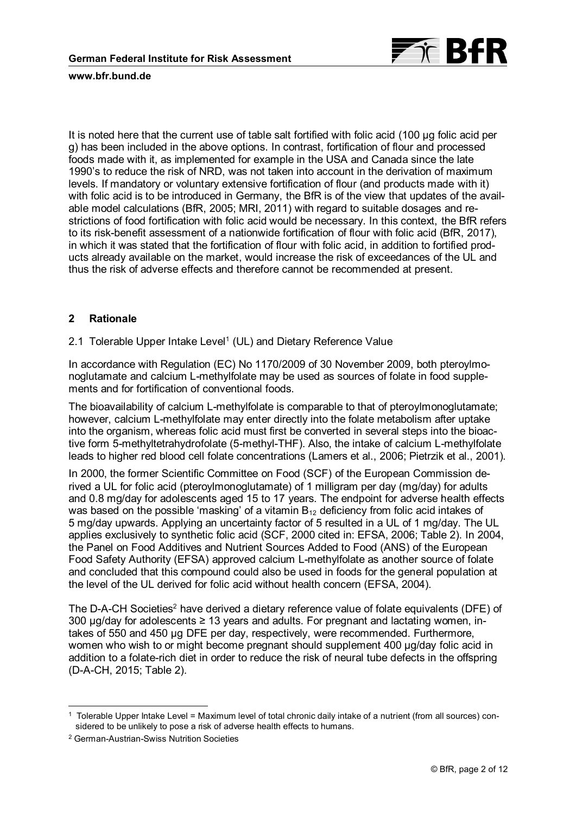

It is noted here that the current use of table salt fortified with folic acid (100 µg folic acid per g) has been included in the above options. In contrast, fortification of flour and processed foods made with it, as implemented for example in the USA and Canada since the late 1990's to reduce the risk of NRD, was not taken into account in the derivation of maximum levels. If mandatory or voluntary extensive fortification of flour (and products made with it) with folic acid is to be introduced in Germany, the BfR is of the view that updates of the available model calculations (BfR, 2005; MRI, 2011) with regard to suitable dosages and restrictions of food fortification with folic acid would be necessary. In this context, the BfR refers to its risk-benefit assessment of a nationwide fortification of flour with folic acid (BfR, 2017), in which it was stated that the fortification of flour with folic acid, in addition to fortified products already available on the market, would increase the risk of exceedances of the UL and thus the risk of adverse effects and therefore cannot be recommended at present.

# **2 Rationale**

2.1 Tolerable Upper Intake Level<sup>1</sup> (UL) and Dietary Reference Value

In accordance with Regulation (EC) No 1170/2009 of 30 November 2009, both pteroylmonoglutamate and calcium L-methylfolate may be used as sources of folate in food supplements and for fortification of conventional foods.

The bioavailability of calcium L-methylfolate is comparable to that of pteroylmonoglutamate; however, calcium L-methylfolate may enter directly into the folate metabolism after uptake into the organism, whereas folic acid must first be converted in several steps into the bioactive form 5-methyltetrahydrofolate (5-methyl-THF). Also, the intake of calcium L-methylfolate leads to higher red blood cell folate concentrations (Lamers et al., 2006; Pietrzik et al., 2001).

In 2000, the former Scientific Committee on Food (SCF) of the European Commission derived a UL for folic acid (pteroylmonoglutamate) of 1 milligram per day (mg/day) for adults and 0.8 mg/day for adolescents aged 15 to 17 years. The endpoint for adverse health effects was based on the possible 'masking' of a vitamin  $B_{12}$  deficiency from folic acid intakes of 5 mg/day upwards. Applying an uncertainty factor of 5 resulted in a UL of 1 mg/day. The UL applies exclusively to synthetic folic acid (SCF, 2000 cited in: EFSA, 2006; Table 2). In 2004, the Panel on Food Additives and Nutrient Sources Added to Food (ANS) of the European Food Safety Authority (EFSA) approved calcium L-methylfolate as another source of folate and concluded that this compound could also be used in foods for the general population at the level of the UL derived for folic acid without health concern (EFSA, 2004).

The D-A-CH Societies<sup>2</sup> have derived a dietary reference value of folate equivalents (DFE) of 300  $\mu$ g/day for adolescents  $\geq$  13 years and adults. For pregnant and lactating women, intakes of 550 and 450 µg DFE per day, respectively, were recommended. Furthermore, women who wish to or might become pregnant should supplement 400 µg/day folic acid in addition to a folate-rich diet in order to reduce the risk of neural tube defects in the offspring (D-A-CH, 2015; Table 2).

<sup>1</sup> Tolerable Upper Intake Level = Maximum level of total chronic daily intake of a nutrient (from all sources) considered to be unlikely to pose a risk of adverse health effects to humans.

<sup>2</sup> German-Austrian-Swiss Nutrition Societies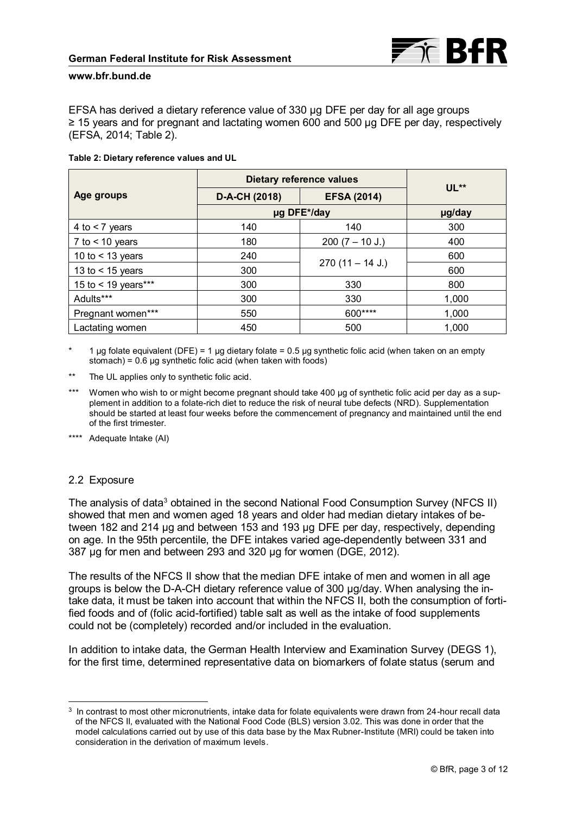

EFSA has derived a dietary reference value of 330 µg DFE per day for all age groups ≥ 15 years and for pregnant and lactating women 600 and 500 µg DFE per day, respectively (EFSA, 2014; Table 2).

#### **Table 2: Dietary reference values and UL**

|                     | <b>Dietary reference values</b> |                    |        |
|---------------------|---------------------------------|--------------------|--------|
| Age groups          | D-A-CH (2018)                   | <b>EFSA (2014)</b> | $UL**$ |
|                     | µg DFE*/day                     |                    | µg/day |
| 4 to $<$ 7 years    | 140                             | 140                | 300    |
| 7 to $<$ 10 years   | 180                             | $200 (7 - 10 J.)$  | 400    |
| 10 to $<$ 13 years  | 240                             |                    | 600    |
| 13 to $<$ 15 years  | 300                             | $270(11 - 14 J.)$  | 600    |
| 15 to < 19 years*** | 300                             | 330                | 800    |
| Adults***           | 300                             | 330                | 1,000  |
| Pregnant women***   | 550                             | 600****            | 1,000  |
| Lactating women     | 450                             | 500                | 1,000  |

1 µg folate equivalent (DFE) = 1 µg dietary folate = 0.5 µg synthetic folic acid (when taken on an empty stomach) = 0.6 µg synthetic folic acid (when taken with foods)

- \*\* The UL applies only to synthetic folic acid.
- Women who wish to or might become pregnant should take 400 µg of synthetic folic acid per day as a supplement in addition to a folate-rich diet to reduce the risk of neural tube defects (NRD). Supplementation should be started at least four weeks before the commencement of pregnancy and maintained until the end of the first trimester.

\*\*\*\* Adequate Intake (AI)

### 2.2 Exposure

 $\overline{a}$ 

The analysis of data<sup>3</sup> obtained in the second National Food Consumption Survey (NFCS II) showed that men and women aged 18 years and older had median dietary intakes of between 182 and 214 µg and between 153 and 193 μg DFE per day, respectively, depending on age. In the 95th percentile, the DFE intakes varied age-dependently between 331 and 387 µg for men and between 293 and 320 µg for women (DGE, 2012).

The results of the NFCS II show that the median DFE intake of men and women in all age groups is below the D-A-CH dietary reference value of 300 µg/day. When analysing the intake data, it must be taken into account that within the NFCS II, both the consumption of fortified foods and of (folic acid-fortified) table salt as well as the intake of food supplements could not be (completely) recorded and/or included in the evaluation.

In addition to intake data, the German Health Interview and Examination Survey (DEGS 1), for the first time, determined representative data on biomarkers of folate status (serum and

 $^3\,$  In contrast to most other micronutrients, intake data for folate equivalents were drawn from 24-hour recall data of the NFCS II, evaluated with the National Food Code (BLS) version 3.02. This was done in order that the model calculations carried out by use of this data base by the Max Rubner-Institute (MRI) could be taken into consideration in the derivation of maximum levels.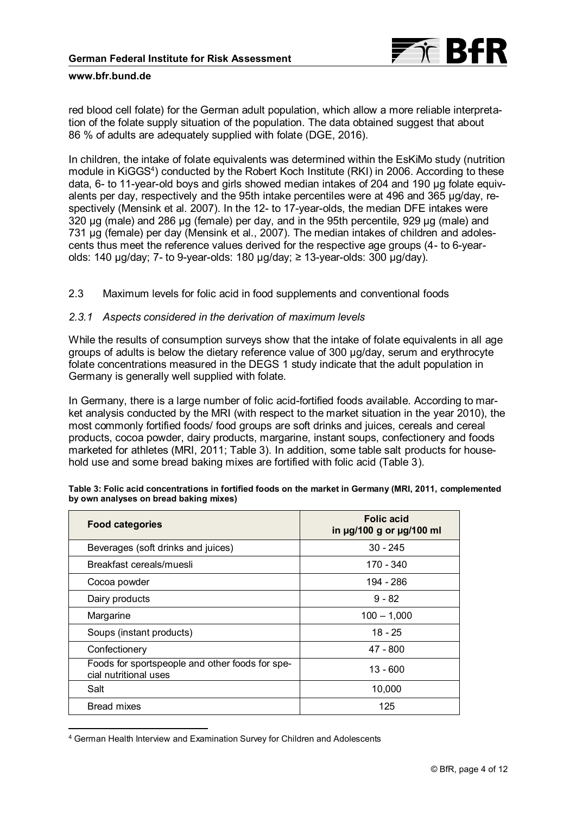

red blood cell folate) for the German adult population, which allow a more reliable interpretation of the folate supply situation of the population. The data obtained suggest that about 86 % of adults are adequately supplied with folate (DGE, 2016).

In children, the intake of folate equivalents was determined within the EsKiMo study (nutrition module in KiGGS<sup>4</sup>) conducted by the Robert Koch Institute (RKI) in 2006. According to these data, 6- to 11-year-old boys and girls showed median intakes of 204 and 190 µg folate equivalents per day, respectively and the 95th intake percentiles were at 496 and 365 µg/day, respectively (Mensink et al. 2007). In the 12- to 17-year-olds, the median DFE intakes were 320 µg (male) and 286 μg (female) per day, and in the 95th percentile, 929 µg (male) and 731 µg (female) per day (Mensink et al., 2007). The median intakes of children and adolescents thus meet the reference values derived for the respective age groups (4- to 6-yearolds: 140 μg/day; 7- to 9-year-olds: 180 μg/day; ≥ 13-year-olds: 300 µg/day).

2.3 Maximum levels for folic acid in food supplements and conventional foods

### *2.3.1 Aspects considered in the derivation of maximum levels*

While the results of consumption surveys show that the intake of folate equivalents in all age groups of adults is below the dietary reference value of 300 µg/day, serum and erythrocyte folate concentrations measured in the DEGS 1 study indicate that the adult population in Germany is generally well supplied with folate.

In Germany, there is a large number of folic acid-fortified foods available. According to market analysis conducted by the MRI (with respect to the market situation in the year 2010), the most commonly fortified foods/ food groups are soft drinks and juices, cereals and cereal products, cocoa powder, dairy products, margarine, instant soups, confectionery and foods marketed for athletes (MRI, 2011; Table 3). In addition, some table salt products for household use and some bread baking mixes are fortified with folic acid (Table 3).

| <b>Food categories</b>                                                   | <b>Folic acid</b><br>in µg/100 g or µg/100 ml |
|--------------------------------------------------------------------------|-----------------------------------------------|
| Beverages (soft drinks and juices)                                       | $30 - 245$                                    |
| Breakfast cereals/muesli                                                 | 170 - 340                                     |
| Cocoa powder                                                             | 194 - 286                                     |
| Dairy products                                                           | $9 - 82$                                      |
| Margarine                                                                | $100 - 1,000$                                 |
| Soups (instant products)                                                 | $18 - 25$                                     |
| Confectionery                                                            | 47 - 800                                      |
| Foods for sportspeople and other foods for spe-<br>cial nutritional uses | 13 - 600                                      |
| Salt                                                                     | 10,000                                        |
| <b>Bread mixes</b>                                                       | 125                                           |

| Table 3: Folic acid concentrations in fortified foods on the market in Germany (MRI, 2011, complemented |  |
|---------------------------------------------------------------------------------------------------------|--|
| by own analyses on bread baking mixes)                                                                  |  |

 $\overline{a}$ 

<sup>4</sup> German Health Interview and Examination Survey for Children and Adolescents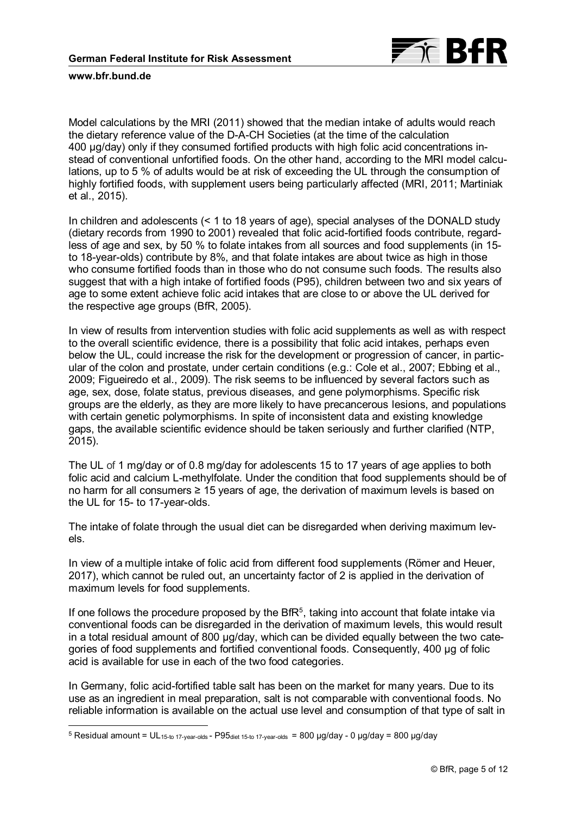

 $\overline{a}$ 

Model calculations by the MRI (2011) showed that the median intake of adults would reach the dietary reference value of the D-A-CH Societies (at the time of the calculation 400 µg/day) only if they consumed fortified products with high folic acid concentrations instead of conventional unfortified foods. On the other hand, according to the MRI model calculations, up to 5 % of adults would be at risk of exceeding the UL through the consumption of highly fortified foods, with supplement users being particularly affected (MRI, 2011; Martiniak et al., 2015).

In children and adolescents (< 1 to 18 years of age), special analyses of the DONALD study (dietary records from 1990 to 2001) revealed that folic acid-fortified foods contribute, regardless of age and sex, by 50 % to folate intakes from all sources and food supplements (in 15 to 18-year-olds) contribute by 8%, and that folate intakes are about twice as high in those who consume fortified foods than in those who do not consume such foods. The results also suggest that with a high intake of fortified foods (P95), children between two and six years of age to some extent achieve folic acid intakes that are close to or above the UL derived for the respective age groups (BfR, 2005).

In view of results from intervention studies with folic acid supplements as well as with respect to the overall scientific evidence, there is a possibility that folic acid intakes, perhaps even below the UL, could increase the risk for the development or progression of cancer, in particular of the colon and prostate, under certain conditions (e.g.: Cole et al., 2007; Ebbing et al., 2009; Figueiredo et al., 2009). The risk seems to be influenced by several factors such as age, sex, dose, folate status, previous diseases, and gene polymorphisms. Specific risk groups are the elderly, as they are more likely to have precancerous lesions, and populations with certain genetic polymorphisms. In spite of inconsistent data and existing knowledge gaps, the available scientific evidence should be taken seriously and further clarified (NTP, 2015).

The UL of 1 mg/day or of 0.8 mg/day for adolescents 15 to 17 years of age applies to both folic acid and calcium L-methylfolate. Under the condition that food supplements should be of no harm for all consumers ≥ 15 years of age, the derivation of maximum levels is based on the UL for 15- to 17-year-olds.

The intake of folate through the usual diet can be disregarded when deriving maximum levels.

In view of a multiple intake of folic acid from different food supplements (Römer and Heuer, 2017), which cannot be ruled out, an uncertainty factor of 2 is applied in the derivation of maximum levels for food supplements.

If one follows the procedure proposed by the Bf $R<sup>5</sup>$ , taking into account that folate intake via conventional foods can be disregarded in the derivation of maximum levels, this would result in a total residual amount of 800 µg/day, which can be divided equally between the two categories of food supplements and fortified conventional foods. Consequently, 400 µg of folic acid is available for use in each of the two food categories.

In Germany, folic acid-fortified table salt has been on the market for many years. Due to its use as an ingredient in meal preparation, salt is not comparable with conventional foods. No reliable information is available on the actual use level and consumption of that type of salt in

 $5$  Residual amount = UL<sub>15-to 17-year-olds</sub> - P95<sub>diet 15-to 17-year-olds = 800 µg/day - 0 µg/day = 800 µg/day</sub>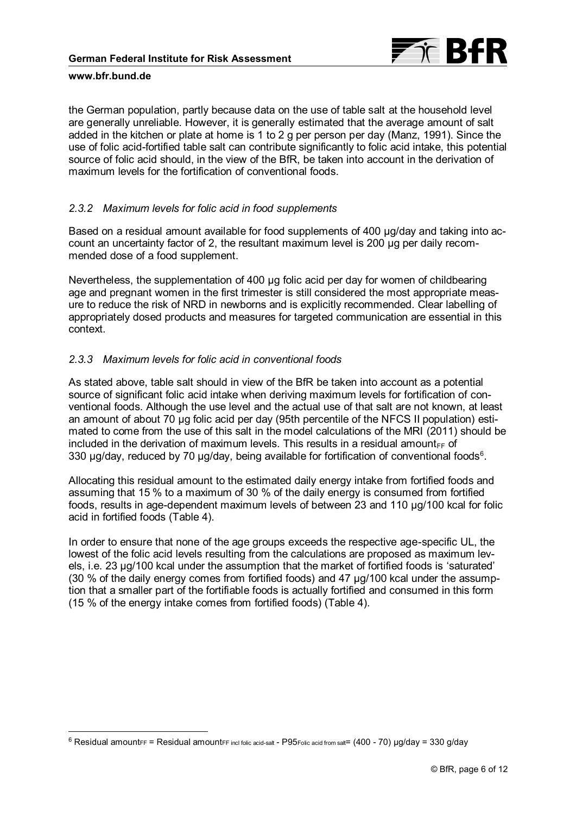

 $\overline{a}$ 

the German population, partly because data on the use of table salt at the household level are generally unreliable. However, it is generally estimated that the average amount of salt added in the kitchen or plate at home is 1 to 2 g per person per day (Manz, 1991). Since the use of folic acid-fortified table salt can contribute significantly to folic acid intake, this potential source of folic acid should, in the view of the BfR, be taken into account in the derivation of maximum levels for the fortification of conventional foods.

## *2.3.2 Maximum levels for folic acid in food supplements*

Based on a residual amount available for food supplements of 400 µg/day and taking into account an uncertainty factor of 2, the resultant maximum level is 200 µg per daily recommended dose of a food supplement.

Nevertheless, the supplementation of 400 µg folic acid per day for women of childbearing age and pregnant women in the first trimester is still considered the most appropriate measure to reduce the risk of NRD in newborns and is explicitly recommended. Clear labelling of appropriately dosed products and measures for targeted communication are essential in this context.

# *2.3.3 Maximum levels for folic acid in conventional foods*

As stated above, table salt should in view of the BfR be taken into account as a potential source of significant folic acid intake when deriving maximum levels for fortification of conventional foods. Although the use level and the actual use of that salt are not known, at least an amount of about 70 µg folic acid per day (95th percentile of the NFCS II population) estimated to come from the use of this salt in the model calculations of the MRI (2011) should be included in the derivation of maximum levels. This results in a residual amount $_{FF}$  of 330  $\mu$ g/day, reduced by 70  $\mu$ g/day, being available for fortification of conventional foods $^6$ .

Allocating this residual amount to the estimated daily energy intake from fortified foods and assuming that 15 % to a maximum of 30 % of the daily energy is consumed from fortified foods, results in age-dependent maximum levels of between 23 and 110 µg/100 kcal for folic acid in fortified foods (Table 4).

In order to ensure that none of the age groups exceeds the respective age-specific UL, the lowest of the folic acid levels resulting from the calculations are proposed as maximum levels, i.e. 23 µg/100 kcal under the assumption that the market of fortified foods is 'saturated' (30 % of the daily energy comes from fortified foods) and 47 µg/100 kcal under the assumption that a smaller part of the fortifiable foods is actually fortified and consumed in this form (15 % of the energy intake comes from fortified foods) (Table 4).

 $6$  Residual amount $FF =$  Residual amount $FF$  incl folic acid-salt - P95 $F$ olic acid from salt= (400 - 70) µg/day = 330 g/day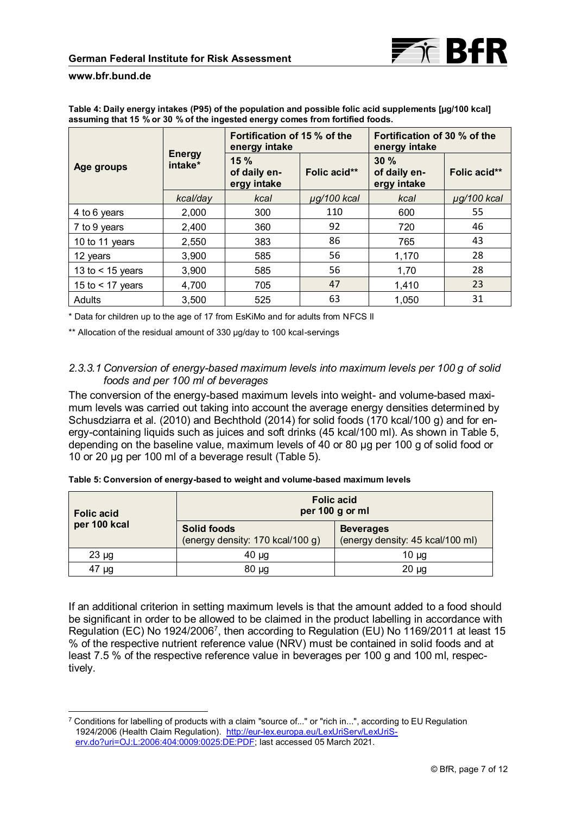

 $\overline{a}$ 

| Table 4: Daily energy intakes (P95) of the population and possible folic acid supplements [µg/100 kcal] |
|---------------------------------------------------------------------------------------------------------|
| assuming that 15 % or 30 % of the ingested energy comes from fortified foods.                           |

|                    |                          | Fortification of 15 % of the<br>energy intake |                  | Fortification of 30 % of the<br>energy intake |                  |
|--------------------|--------------------------|-----------------------------------------------|------------------|-----------------------------------------------|------------------|
| Age groups         | <b>Energy</b><br>intake* | 15%<br>of daily en-<br>ergy intake            | Folic acid**     | 30%<br>of daily en-<br>ergy intake            | Folic acid**     |
|                    | kcal/day                 | kcal                                          | $\mu$ g/100 kcal | kcal                                          | $\mu$ g/100 kcal |
| 4 to 6 years       | 2,000                    | 300                                           | 110              | 600                                           | 55               |
| 7 to 9 years       | 2,400                    | 360                                           | 92               | 720                                           | 46               |
| 10 to 11 years     | 2,550                    | 383                                           | 86               | 765                                           | 43               |
| 12 years           | 3,900                    | 585                                           | 56               | 1,170                                         | 28               |
| 13 to $<$ 15 years | 3.900                    | 585                                           | 56               | 1,70                                          | 28               |
| 15 to $<$ 17 years | 4,700                    | 705                                           | 47               | 1,410                                         | 23               |
| Adults             | 3.500                    | 525                                           | 63               | 1.050                                         | 31               |

\* Data for children up to the age of 17 from EsKiMo and for adults from NFCS II

\*\* Allocation of the residual amount of 330 µg/day to 100 kcal-servings

# *2.3.3.1 Conversion of energy-based maximum levels into maximum levels per 100 g of solid foods and per 100 ml of beverages*

The conversion of the energy-based maximum levels into weight- and volume-based maximum levels was carried out taking into account the average energy densities determined by Schusdziarra et al. (2010) and Bechthold (2014) for solid foods (170 kcal/100 g) and for energy-containing liquids such as juices and soft drinks (45 kcal/100 ml). As shown in Table 5, depending on the baseline value, maximum levels of 40 or 80 µg per 100 g of solid food or 10 or 20 µg per 100 ml of a beverage result (Table 5).

|                                   | <u>thing at a citizen of all all and all was a traight and the same was an invitible in the sea</u> |                                                      |  |
|-----------------------------------|-----------------------------------------------------------------------------------------------------|------------------------------------------------------|--|
| <b>Folic acid</b><br>per 100 kcal | <b>Folic acid</b><br>per 100 g or ml                                                                |                                                      |  |
|                                   | <b>Solid foods</b><br>(energy density: 170 kcal/100 g)                                              | <b>Beverages</b><br>(energy density: 45 kcal/100 ml) |  |

23 µg 10 µg 10 µg 10 µg 10 µg 10 µg 10 µg 10 µg 10 µg 10 µg 10 µg 10 µg 10 µg 10 µg 10 47 µg 80 µg 20 µg

**Table 5: Conversion of energy-based to weight and volume-based maximum levels**

If an additional criterion in setting maximum levels is that the amount added to a food should be significant in order to be allowed to be claimed in the product labelling in accordance with Regulation (EC) No 1924/2006<sup>7</sup> , then according to Regulation (EU) No 1169/2011 at least 15 % of the respective nutrient reference value (NRV) must be contained in solid foods and at least 7.5 % of the respective reference value in beverages per 100 g and 100 ml, respectively.

<sup>7</sup> Conditions for labelling of products with a claim "source of..." or "rich in...", according to EU Regulation 1924/2006 (Health Claim Regulation). [http://eur-lex.europa.eu/LexUriServ/LexUriS](http://eur-lex.europa.eu/LexUriServ/LexUriServ.do?uri=OJ:L:2006:404:0009:0025:DE:PDF)[erv.do?uri=OJ:L:2006:404:0009:0025:DE:PDF;](http://eur-lex.europa.eu/LexUriServ/LexUriServ.do?uri=OJ:L:2006:404:0009:0025:DE:PDF) last accessed 05 March 2021.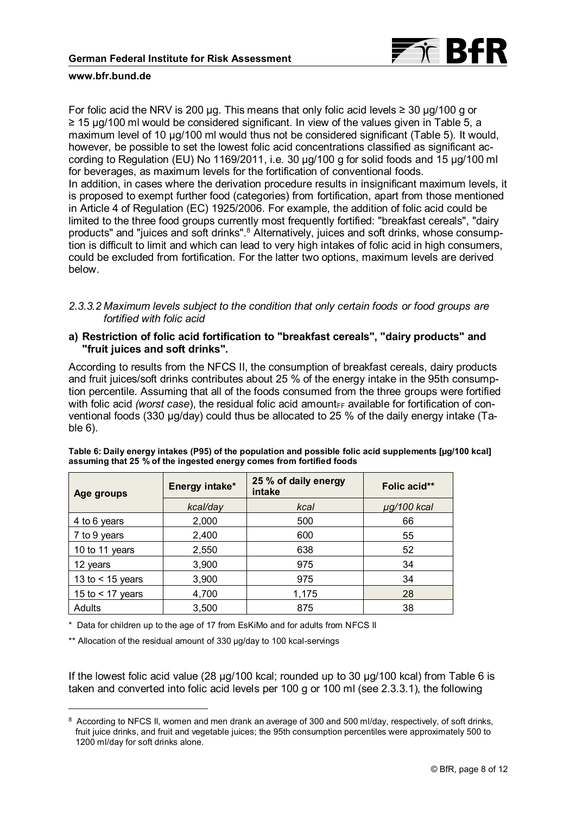

For folic acid the NRV is 200 µg. This means that only folic acid levels  $\geq 30$  µg/100 g or ≥ 15 µg/100 ml would be considered significant. In view of the values given in Table 5, a maximum level of 10  $\mu$ g/100 ml would thus not be considered significant (Table 5). It would, however, be possible to set the lowest folic acid concentrations classified as significant according to Regulation (EU) No 1169/2011, i.e. 30 µg/100 g for solid foods and 15 µg/100 ml for beverages, as maximum levels for the fortification of conventional foods. In addition, in cases where the derivation procedure results in insignificant maximum levels, it is proposed to exempt further food (categories) from fortification, apart from those mentioned in Article 4 of Regulation (EC) 1925/2006. For example, the addition of folic acid could be limited to the three food groups currently most frequently fortified: "breakfast cereals", "dairy products" and "juices and soft drinks".<sup>8</sup> Alternatively, juices and soft drinks, whose consumption is difficult to limit and which can lead to very high intakes of folic acid in high consumers, could be excluded from fortification. For the latter two options, maximum levels are derived below.

## *2.3.3.2 Maximum levels subject to the condition that only certain foods or food groups are fortified with folic acid*

### **a) Restriction of folic acid fortification to "breakfast cereals", "dairy products" and "fruit juices and soft drinks".**

According to results from the NFCS II, the consumption of breakfast cereals, dairy products and fruit juices/soft drinks contributes about 25 % of the energy intake in the 95th consumption percentile. Assuming that all of the foods consumed from the three groups were fortified with folic acid *(worst case)*, the residual folic acid amount<sub>FF</sub> available for fortification of conventional foods (330 µg/day) could thus be allocated to 25 % of the daily energy intake (Table 6).

| Age groups         | Energy intake* | 25 % of daily energy<br>intake | Folic acid** |
|--------------------|----------------|--------------------------------|--------------|
|                    | kcal/day       | kcal                           | µg/100 kcal  |
| 4 to 6 years       | 2,000          | 500                            | 66           |
| 7 to 9 years       | 2,400          | 600                            | 55           |
| 10 to 11 years     | 2,550          | 638                            | 52           |
| 12 years           | 3,900          | 975                            | 34           |
| 13 to $<$ 15 years | 3,900          | 975                            | 34           |
| 15 to $<$ 17 years | 4,700          | 1,175                          | 28           |
| Adults             | 3,500          | 875                            | 38           |

**Table 6: Daily energy intakes (P95) of the population and possible folic acid supplements [µg/100 kcal] assuming that 25 % of the ingested energy comes from fortified foods**

\* Data for children up to the age of 17 from EsKiMo and for adults from NFCS II

\*\* Allocation of the residual amount of 330 µg/day to 100 kcal-servings

 $\overline{a}$ 

If the lowest folic acid value (28 µg/100 kcal; rounded up to 30 µg/100 kcal) from Table 6 is taken and converted into folic acid levels per 100 g or 100 ml (see 2.3.3.1), the following

<sup>8</sup> According to NFCS II, women and men drank an average of 300 and 500 ml/day, respectively, of soft drinks, fruit juice drinks, and fruit and vegetable juices; the 95th consumption percentiles were approximately 500 to 1200 ml/day for soft drinks alone.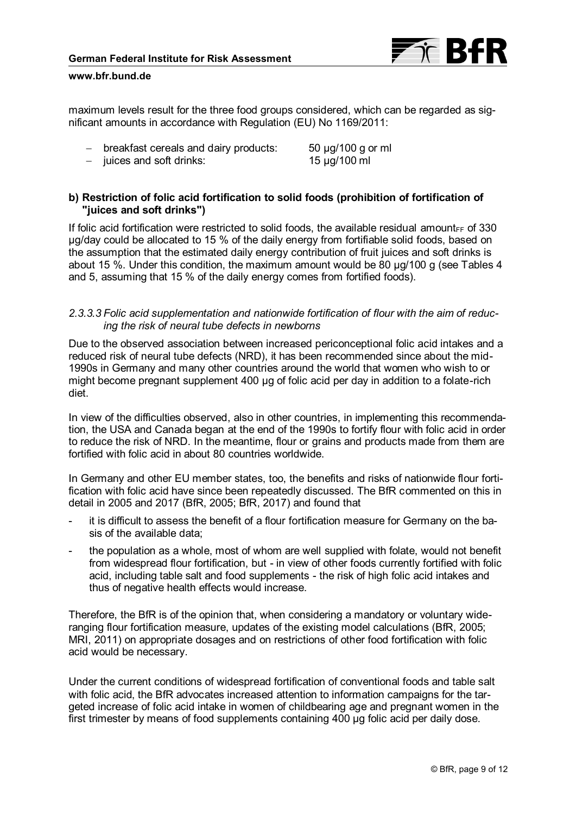

maximum levels result for the three food groups considered, which can be regarded as significant amounts in accordance with Regulation (EU) No 1169/2011:

- breakfast cereals and dairy products: 50 µg/100 g or ml

- juices and soft drinks: 15 µg/100 ml

# **b) Restriction of folic acid fortification to solid foods (prohibition of fortification of "juices and soft drinks")**

If folic acid fortification were restricted to solid foods, the available residual amount $_{EF}$  of 330 µg/day could be allocated to 15 % of the daily energy from fortifiable solid foods, based on the assumption that the estimated daily energy contribution of fruit juices and soft drinks is about 15 %. Under this condition, the maximum amount would be 80 µg/100 g (see Tables 4 and 5, assuming that 15 % of the daily energy comes from fortified foods).

## *2.3.3.3 Folic acid supplementation and nationwide fortification of flour with the aim of reducing the risk of neural tube defects in newborns*

Due to the observed association between increased periconceptional folic acid intakes and a reduced risk of neural tube defects (NRD), it has been recommended since about the mid-1990s in Germany and many other countries around the world that women who wish to or might become pregnant supplement 400 µg of folic acid per day in addition to a folate-rich diet.

In view of the difficulties observed, also in other countries, in implementing this recommendation, the USA and Canada began at the end of the 1990s to fortify flour with folic acid in order to reduce the risk of NRD. In the meantime, flour or grains and products made from them are fortified with folic acid in about 80 countries worldwide.

In Germany and other EU member states, too, the benefits and risks of nationwide flour fortification with folic acid have since been repeatedly discussed. The BfR commented on this in detail in 2005 and 2017 (BfR, 2005; BfR, 2017) and found that

- it is difficult to assess the benefit of a flour fortification measure for Germany on the basis of the available data;
- the population as a whole, most of whom are well supplied with folate, would not benefit from widespread flour fortification, but - in view of other foods currently fortified with folic acid, including table salt and food supplements - the risk of high folic acid intakes and thus of negative health effects would increase.

Therefore, the BfR is of the opinion that, when considering a mandatory or voluntary wideranging flour fortification measure, updates of the existing model calculations (BfR, 2005; MRI, 2011) on appropriate dosages and on restrictions of other food fortification with folic acid would be necessary.

Under the current conditions of widespread fortification of conventional foods and table salt with folic acid, the BfR advocates increased attention to information campaigns for the targeted increase of folic acid intake in women of childbearing age and pregnant women in the first trimester by means of food supplements containing 400 µg folic acid per daily dose.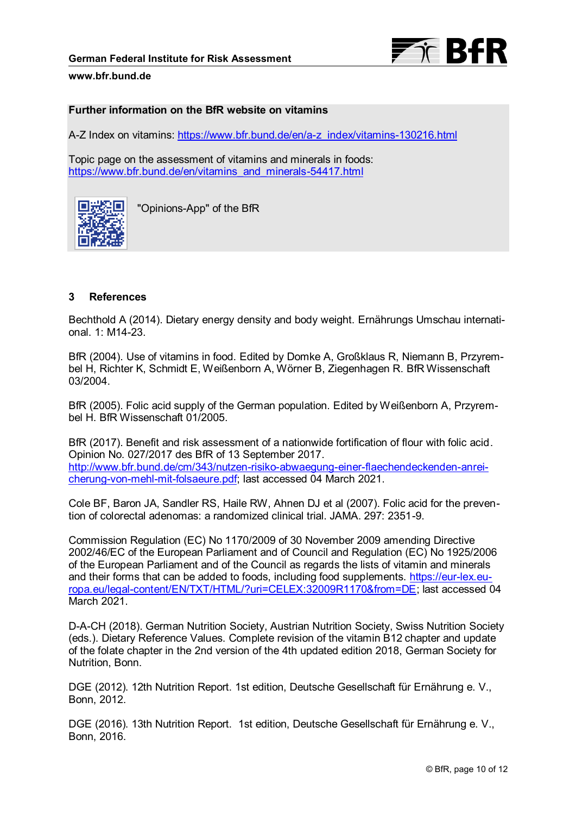

### **Further information on the BfR website on vitamins**

A-Z Index on vitamins: [https://www.bfr.bund.de/en/a-z\\_index/vitamins-130216.html](https://www.bfr.bund.de/en/a-z_index/vitamins-130216.html)

Topic page on the assessment of vitamins and minerals in foods: [https://www.bfr.bund.de/en/vitamins\\_and\\_minerals-54417.html](https://www.bfr.bund.de/en/vitamins_and_minerals-54417.html)



"Opinions-App" of the BfR

# **3 References**

Bechthold A (2014). Dietary energy density and body weight. Ernährungs Umschau international. 1: M14-23.

BfR (2004). Use of vitamins in food. Edited by Domke A, Großklaus R, Niemann B, Przyrembel H, Richter K, Schmidt E, Weißenborn A, Wörner B, Ziegenhagen R. BfR Wissenschaft 03/2004.

BfR (2005). Folic acid supply of the German population. Edited by Weißenborn A, Przyrembel H. BfR Wissenschaft 01/2005.

BfR (2017). Benefit and risk assessment of a nationwide fortification of flour with folic acid. Opinion No. 027/2017 des BfR of 13 September 2017. [http://www.bfr.bund.de/cm/343/nutzen-risiko-abwaegung-einer-flaechendeckenden-anrei](http://www.bfr.bund.de/cm/343/nutzen-risiko-abwaegung-einer-flaechendeckenden-anreicherung-von-mehl-mit-folsaeure.pdf)[cherung-von-mehl-mit-folsaeure.pdf;](http://www.bfr.bund.de/cm/343/nutzen-risiko-abwaegung-einer-flaechendeckenden-anreicherung-von-mehl-mit-folsaeure.pdf) last accessed 04 March 2021.

Cole BF, Baron JA, Sandler RS, Haile RW, Ahnen DJ et al (2007). Folic acid for the prevention of colorectal adenomas: a randomized clinical trial. JAMA. 297: 2351-9.

Commission Regulation (EC) No 1170/2009 of 30 November 2009 amending Directive 2002/46/EC of the European Parliament and of Council and Regulation (EC) No 1925/2006 of the European Parliament and of the Council as regards the lists of vitamin and minerals and their forms that can be added to foods, including food supplements. [https://eur-lex.eu](https://eur-lex.europa.eu/legal-content/EN/TXT/HTML/?uri=CELEX:32009R1170&from=DE)[ropa.eu/legal-content/EN/TXT/HTML/?uri=CELEX:32009R1170&from=DE;](https://eur-lex.europa.eu/legal-content/EN/TXT/HTML/?uri=CELEX:32009R1170&from=DE) last accessed 04 March 2021.

D-A-CH (2018). German Nutrition Society, Austrian Nutrition Society, Swiss Nutrition Society (eds.). Dietary Reference Values. Complete revision of the vitamin B12 chapter and update of the folate chapter in the 2nd version of the 4th updated edition 2018, German Society for Nutrition, Bonn.

DGE (2012). 12th Nutrition Report. 1st edition, Deutsche Gesellschaft für Ernährung e. V., Bonn, 2012.

DGE (2016). 13th Nutrition Report. 1st edition, Deutsche Gesellschaft für Ernährung e. V., Bonn, 2016.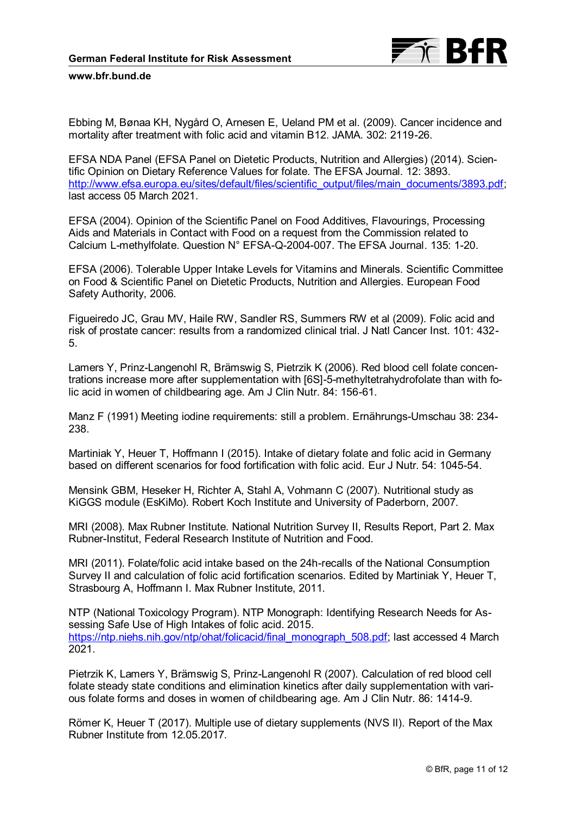

Ebbing M, Bønaa KH, Nygård O, Arnesen E, Ueland PM et al. (2009). Cancer incidence and mortality after treatment with folic acid and vitamin B12. JAMA. 302: 2119-26.

EFSA NDA Panel (EFSA Panel on Dietetic Products, Nutrition and Allergies) (2014). Scientific Opinion on Dietary Reference Values for folate. The EFSA Journal. 12: 3893. [http://www.efsa.europa.eu/sites/default/files/scientific\\_output/files/main\\_documents/3893.pdf;](http://www.efsa.europa.eu/sites/default/files/scientific_output/files/main_documents/3893.pdf) last access 05 March 2021.

EFSA (2004). Opinion of the Scientific Panel on Food Additives, Flavourings, Processing Aids and Materials in Contact with Food on a request from the Commission related to Calcium L-methylfolate. Question N° EFSA-Q-2004-007. The EFSA Journal. 135: 1-20.

EFSA (2006). Tolerable Upper Intake Levels for Vitamins and Minerals. Scientific Committee on Food & Scientific Panel on Dietetic Products, Nutrition and Allergies. European Food Safety Authority, 2006.

Figueiredo JC, Grau MV, Haile RW, Sandler RS, Summers RW et al (2009). Folic acid and risk of prostate cancer: results from a randomized clinical trial. J Natl Cancer Inst. 101: 432- 5.

Lamers Y, Prinz-Langenohl R, Brämswig S, Pietrzik K (2006). Red blood cell folate concentrations increase more after supplementation with [6S]-5-methyltetrahydrofolate than with folic acid in women of childbearing age. Am J Clin Nutr. 84: 156-61.

Manz F (1991) Meeting iodine requirements: still a problem. Ernährungs-Umschau 38: 234- 238.

Martiniak Y, Heuer T, Hoffmann I (2015). Intake of dietary folate and folic acid in Germany based on different scenarios for food fortification with folic acid. Eur J Nutr. 54: 1045-54.

Mensink GBM, Heseker H, Richter A, Stahl A, Vohmann C (2007). Nutritional study as KiGGS module (EsKiMo). Robert Koch Institute and University of Paderborn, 2007.

MRI (2008). Max Rubner Institute. National Nutrition Survey II, Results Report, Part 2. Max Rubner-Institut, Federal Research Institute of Nutrition and Food.

MRI (2011). Folate/folic acid intake based on the 24h-recalls of the National Consumption Survey II and calculation of folic acid fortification scenarios. Edited by Martiniak Y, Heuer T, Strasbourg A, Hoffmann I. Max Rubner Institute, 2011.

NTP (National Toxicology Program). NTP Monograph: Identifying Research Needs for Assessing Safe Use of High Intakes of folic acid. 2015. [https://ntp.niehs.nih.gov/ntp/ohat/folicacid/final\\_monograph\\_508.pdf;](https://ntp.niehs.nih.gov/ntp/ohat/folicacid/final_monograph_508.pdf) last accessed 4 March 2021.

Pietrzik K, Lamers Y, Brämswig S, Prinz-Langenohl R (2007). Calculation of red blood cell folate steady state conditions and elimination kinetics after daily supplementation with various folate forms and doses in women of childbearing age. Am J Clin Nutr. 86: 1414-9.

Römer K, Heuer T (2017). Multiple use of dietary supplements (NVS II). Report of the Max Rubner Institute from 12.05.2017.